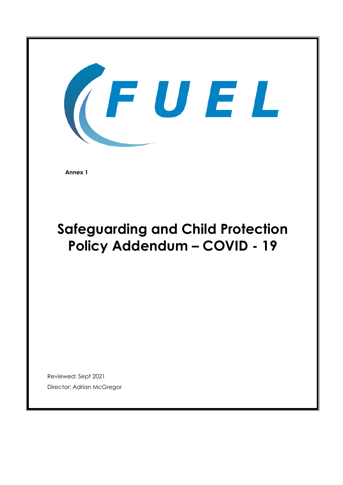

**Annex 1** 

# **Safeguarding and Child Protection Policy Addendum – COVID - 19**

Reviewed: Sept 2021 Director: Adrian McGregor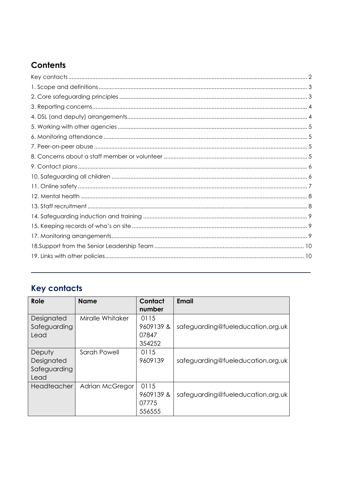# Contents

# <span id="page-1-0"></span>**Key contacts**

| Role                                         | <b>Name</b>      | Contact<br>number                    | Email                             |
|----------------------------------------------|------------------|--------------------------------------|-----------------------------------|
| Designated<br>Safeguarding<br>Lead           | Miralle Whitaker | 0115<br>9609139 &<br>07847<br>354252 | safeguarding@fueleducation.org.uk |
| Deputy<br>Designated<br>Safeguarding<br>Lead | Sarah Powell     | 0115<br>9609139                      | safeguarding@fueleducation.org.uk |
| Headteacher                                  | Adrian McGregor  | 0115<br>9609139 &<br>07775<br>556555 | safeguarding@fueleducation.org.uk |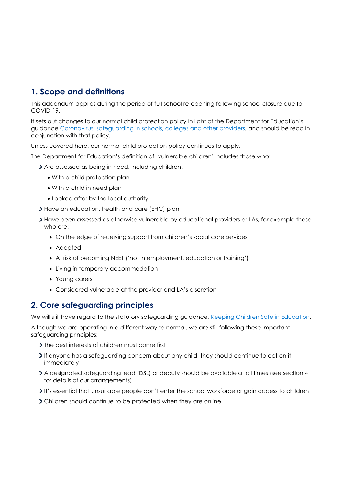# <span id="page-2-0"></span>**1. Scope and definitions**

This addendum applies during the period of full school re-opening following school closure due to COVID-19.

It sets out changes to our normal child protection policy in light of the Department for Education's guidance [Coronavirus: safeguarding in schools, colleges and other providers,](https://www.gov.uk/government/publications/covid-19-safeguarding-in-schools-colleges-and-other-providers) and should be read in conjunction with that policy.

Unless covered here, our normal child protection policy continues to apply.

The Department for Education's definition of 'vulnerable children' includes those who:

Are assessed as being in need, including children:

- With a child protection plan
- With a child in need plan
- Looked after by the local authority
- > Have an education, health and care (EHC) plan
- If Have been assessed as otherwise vulnerable by educational providers or LAs, for example those who are:
	- On the edge of receiving support from children's social care services
	- Adopted
	- At risk of becoming NEET ('not in employment, education or training')
	- Living in temporary accommodation
	- Young carers
	- Considered vulnerable at the provider and LA's discretion

# <span id="page-2-1"></span>**2. Core safeguarding principles**

We will still have regard to the statutory safeguarding guidance, [Keeping Children Safe in Education.](https://www.gov.uk/government/publications/keeping-children-safe-in-education--2)

Although we are operating in a different way to normal, we are still following these important safeguarding principles:

- > The best interests of children must come first
- If anyone has a safeguarding concern about any child, they should continue to act on it immediately
- A designated safeguarding lead (DSL) or deputy should be available at all times (see section 4 for details of our arrangements)
- It's essential that unsuitable people don't enter the school workforce or gain access to children
- Children should continue to be protected when they are online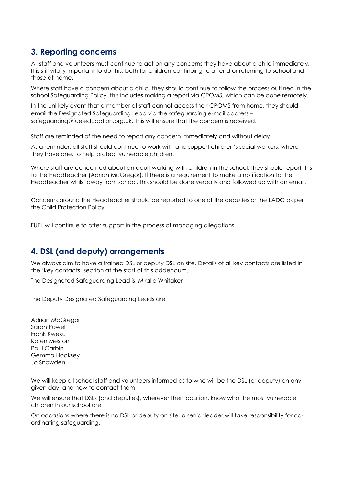# <span id="page-3-0"></span>**3. Reporting concerns**

All staff and volunteers must continue to act on any concerns they have about a child immediately. It is still vitally important to do this, both for children continuing to attend or returning to school and those at home.

Where staff have a concern about a child, they should continue to follow the process outlined in the school Safeguarding Policy, this includes making a report via CPOMS, which can be done remotely.

In the unlikely event that a member of staff cannot access their CPOMS from home, they should email the Designated Safeguarding Lead via the safeguarding e-mail address – safeguarding@fueleducation.org.uk. This will ensure that the concern is received.

Staff are reminded of the need to report any concern immediately and without delay.

As a reminder, all staff should continue to work with and support children's social workers, where they have one, to help protect vulnerable children.

Where staff are concerned about an adult working with children in the school, they should report this to the Headteacher (Adrian McGregor). If there is a requirement to make a notification to the Headteacher whilst away from school, this should be done verbally and followed up with an email.

Concerns around the Headteacher should be reported to one of the deputies or the LADO as per the Child Protection Policy

FUEL will continue to offer support in the process of managing allegations.

# <span id="page-3-1"></span>**4. DSL (and deputy) arrangements**

We always aim to have a trained DSL or deputy DSL on site. Details of all key contacts are listed in the 'key contacts' section at the start of this addendum.

The Designated Safeguarding Lead is: Miralle Whitaker

The Deputy Designated Safeguarding Leads are

Adrian McGregor Sarah Powell Frank Kweku Karen Meston Paul Carbin Gemma Hoaksey Jo Snowden

We will keep all school staff and volunteers informed as to who will be the DSL (or deputy) on any given day, and how to contact them.

We will ensure that DSLs (and deputies), wherever their location, know who the most vulnerable children in our school are.

On occasions where there is no DSL or deputy on site, a senior leader will take responsibility for coordinating safeguarding.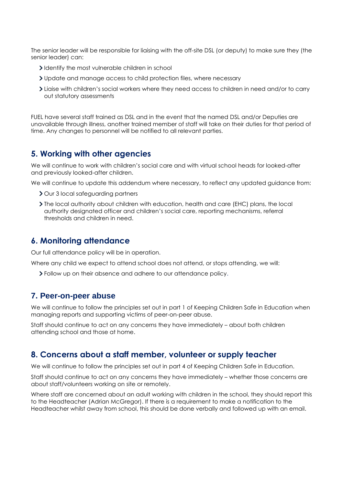The senior leader will be responsible for liaising with the off-site DSL (or deputy) to make sure they (the senior leader) can:

- I dentify the most vulnerable children in school
- Update and manage access to child protection files, where necessary
- Liaise with children's social workers where they need access to children in need and/or to carry out statutory assessments

FUEL have several staff trained as DSL and in the event that the named DSL and/or Deputies are unavailable through illness, another trained member of staff will take on their duties for that period of time. Any changes to personnel will be notified to all relevant parties.

### <span id="page-4-0"></span>**5. Working with other agencies**

We will continue to work with children's social care and with virtual school heads for looked-after and previously looked-after children.

We will continue to update this addendum where necessary, to reflect any updated guidance from:

- > Our 3 local safeguarding partners
- The local authority about children with education, health and care (EHC) plans, the local authority designated officer and children's social care, reporting mechanisms, referral thresholds and children in need.

#### <span id="page-4-1"></span>**6. Monitoring attendance**

Our full attendance policy will be in operation.

Where any child we expect to attend school does not attend, or stops attending, we will:

<span id="page-4-2"></span>Follow up on their absence and adhere to our attendance policy.

#### **7. Peer-on-peer abuse**

We will continue to follow the principles set out in part 1 of Keeping Children Safe in Education when managing reports and supporting victims of peer-on-peer abuse.

Staff should continue to act on any concerns they have immediately – about both children attending school and those at home.

#### <span id="page-4-3"></span>**8. Concerns about a staff member, volunteer or supply teacher**

We will continue to follow the principles set out in part 4 of Keeping Children Safe in Education.

Staff should continue to act on any concerns they have immediately – whether those concerns are about staff/volunteers working on site or remotely.

Where staff are concerned about an adult working with children in the school, they should report this to the Headteacher (Adrian McGregor). If there is a requirement to make a notification to the Headteacher whilst away from school, this should be done verbally and followed up with an email.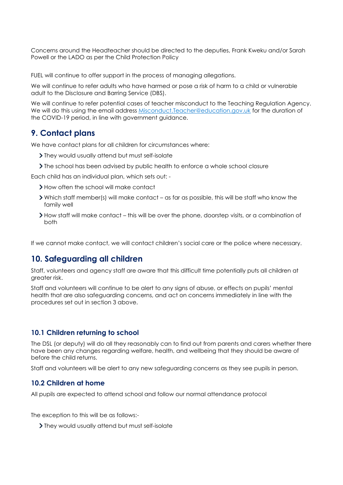Concerns around the Headteacher should be directed to the deputies, Frank Kweku and/or Sarah Powell or the LADO as per the Child Protection Policy

FUEL will continue to offer support in the process of managing allegations.

We will continue to refer adults who have harmed or pose a risk of harm to a child or vulnerable adult to the Disclosure and Barring Service (DBS).

We will continue to refer potential cases of teacher misconduct to the Teaching Regulation Agency. We will do this using the email address [Misconduct.Teacher@education.gov.uk](mailto:Misconduct.Teacher@education.gov.uk) for the duration of the COVID-19 period, in line with government guidance.

#### <span id="page-5-0"></span>**9. Contact plans**

We have contact plans for all children for circumstances where:

- They would usually attend but must self-isolate
- If the school has been advised by public health to enforce a whole school closure

Each child has an individual plan, which sets out: -

- > How often the school will make contact
- Which staff member(s) will make contact as far as possible, this will be staff who know the family well
- How staff will make contact this will be over the phone, doorstep visits, or a combination of both

If we cannot make contact, we will contact children's social care or the police where necessary.

#### <span id="page-5-1"></span>**10. Safeguarding all children**

Staff, volunteers and agency staff are aware that this difficult time potentially puts all children at greater risk.

Staff and volunteers will continue to be alert to any signs of abuse, or effects on pupils' mental health that are also safeguarding concerns, and act on concerns immediately in line with the procedures set out in section 3 above.

#### **10.1 Children returning to school**

The DSL (or deputy) will do all they reasonably can to find out from parents and carers whether there have been any changes regarding welfare, health, and wellbeing that they should be aware of before the child returns.

Staff and volunteers will be alert to any new safeguarding concerns as they see pupils in person.

#### **10.2 Children at home**

All pupils are expected to attend school and follow our normal attendance protocol

The exception to this will be as follows:-

They would usually attend but must self-isolate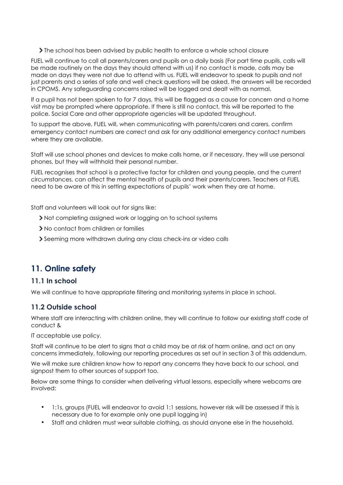$\sum$  The school has been advised by public health to enforce a whole school closure

FUEL will continue to call all parents/carers and pupils on a daily basis (For part time pupils, calls will be made routinely on the days they should attend with us) if no contact is made, calls may be made on days they were not due to attend with us. FUEL will endeavor to speak to pupils and not just parents and a series of safe and well check questions will be asked, the answers will be recorded in CPOMS. Any safeguarding concerns raised will be logged and dealt with as normal.

If a pupil has not been spoken to for 7 days, this will be flagged as a cause for concern and a home visit may be prompted where appropriate. If there is still no contact, this will be reported to the police. Social Care and other appropriate agencies will be updated throughout.

To support the above, FUEL will, when communicating with parents/carers and carers, confirm emergency contact numbers are correct and ask for any additional emergency contact numbers where they are available.

Staff will use school phones and devices to make calls home, or if necessary, they will use personal phones, but they will withhold their personal number.

FUEL recognises that school is a protective factor for children and young people, and the current circumstances, can affect the mental health of pupils and their parents/carers. Teachers at FUEL need to be aware of this in setting expectations of pupils' work when they are at home.

Staff and volunteers will look out for signs like:

- If Not completing assigned work or logging on to school systems
- No contact from children or families
- Seeming more withdrawn during any class check-ins or video calls

# <span id="page-6-0"></span>**11. Online safety**

#### **11.1 In school**

We will continue to have appropriate filtering and monitoring systems in place in school.

#### **11.2 Outside school**

Where staff are interacting with children online, they will continue to follow our existing staff code of conduct &

IT acceptable use policy.

Staff will continue to be alert to signs that a child may be at risk of harm online, and act on any concerns immediately, following our reporting procedures as set out in section 3 of this addendum.

We will make sure children know how to report any concerns they have back to our school, and signpost them to other sources of support too.

Below are some things to consider when delivering virtual lessons, especially where webcams are involved:

- 1:1s, groups (FUEL will endeavor to avoid 1:1 sessions, however risk will be assessed if this is necessary due to for example only one pupil logging in)
- Staff and children must wear suitable clothing, as should anyone else in the household.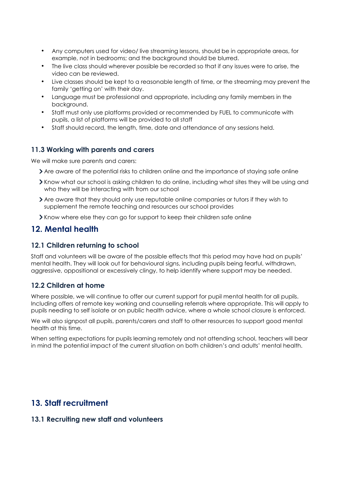- Any computers used for video/ live streaming lessons, should be in appropriate areas, for example, not in bedrooms; and the background should be blurred.
- The live class should wherever possible be recorded so that if any issues were to arise, the video can be reviewed.
- Live classes should be kept to a reasonable length of time, or the streaming may prevent the family 'getting on' with their day.
- Language must be professional and appropriate, including any family members in the background.
- Staff must only use platforms provided or recommended by FUEL to communicate with pupils, a list of platforms will be provided to all staff
- Staff should record, the length, time, date and attendance of any sessions held.

#### **11.3 Working with parents and carers**

We will make sure parents and carers:

- Are aware of the potential risks to children online and the importance of staying safe online
- Know what our school is asking children to do online, including what sites they will be using and who they will be interacting with from our school
- Are aware that they should only use reputable online companies or tutors if they wish to supplement the remote teaching and resources our school provides
- Know where else they can go for support to keep their children safe online

### <span id="page-7-0"></span>**12. Mental health**

#### **12.1 Children returning to school**

Staff and volunteers will be aware of the possible effects that this period may have had on pupils' mental health. They will look out for behavioural signs, including pupils being fearful, withdrawn, aggressive, oppositional or excessively clingy, to help identify where support may be needed.

#### **12.2 Children at home**

Where possible, we will continue to offer our current support for pupil mental health for all pupils. Including offers of remote key working and counselling referrals where appropriate. This will apply to pupils needing to self isolate or on public health advice, where a whole school closure is enforced.

We will also signpost all pupils, parents/carers and staff to other resources to support good mental health at this time.

When setting expectations for pupils learning remotely and not attending school, teachers will bear in mind the potential impact of the current situation on both children's and adults' mental health.

# <span id="page-7-1"></span>**13. Staff recruitment**

#### **13.1 Recruiting new staff and volunteers**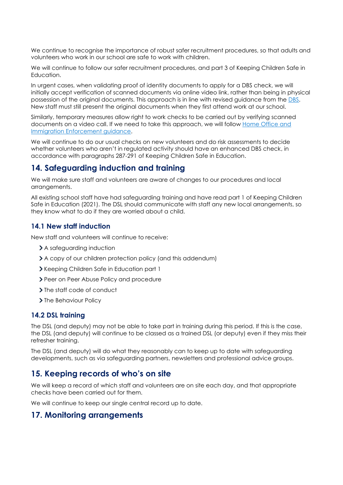We continue to recognise the importance of robust safer recruitment procedures, so that adults and volunteers who work in our school are safe to work with children.

We will continue to follow our safer recruitment procedures, and part 3 of Keeping Children Safe in Education.

In urgent cases, when validating proof of identity documents to apply for a DBS check, we will initially accept verification of scanned documents via online video link, rather than being in physical possession of the original documents. This approach is in line with revised guidance from the DBS. New staff must still present the original documents when they first attend work at our school.

Similarly, temporary measures allow right to work checks to be carried out by verifying scanned documents on a video call. If we need to take this approach, we will follow Home Office and Immigration Enforcement guidance.

We will continue to do our usual checks on new volunteers and do risk assessments to decide whether volunteers who aren't in regulated activity should have an enhanced DBS check, in accordance with paragraphs 287-291 of Keeping Children Safe in Education.

#### <span id="page-8-0"></span>**14. Safeguarding induction and training**

We will make sure staff and volunteers are aware of changes to our procedures and local arrangements.

All existing school staff have had safeguarding training and have read part 1 of Keeping Children Safe in Education (2021). The DSL should communicate with staff any new local arrangements, so they know what to do if they are worried about a child.

#### **14.1 New staff induction**

New staff and volunteers will continue to receive:

- > A safeguarding induction
- A copy of our children protection policy (and this addendum)
- Xeeping Children Safe in Education part 1
- > Peer on Peer Abuse Policy and procedure
- > The staff code of conduct
- > The Behaviour Policy

#### **14.2 DSL training**

The DSL (and deputy) may not be able to take part in training during this period. If this is the case, the DSL (and deputy) will continue to be classed as a trained DSL (or deputy) even if they miss their refresher training.

The DSL (and deputy) will do what they reasonably can to keep up to date with safeguarding developments, such as via safeguarding partners, newsletters and professional advice groups.

#### <span id="page-8-1"></span>**15. Keeping records of who's on site**

We will keep a record of which staff and volunteers are on site each day, and that appropriate checks have been carried out for them.

We will continue to keep our single central record up to date.

#### <span id="page-8-2"></span>**17. Monitoring arrangements**